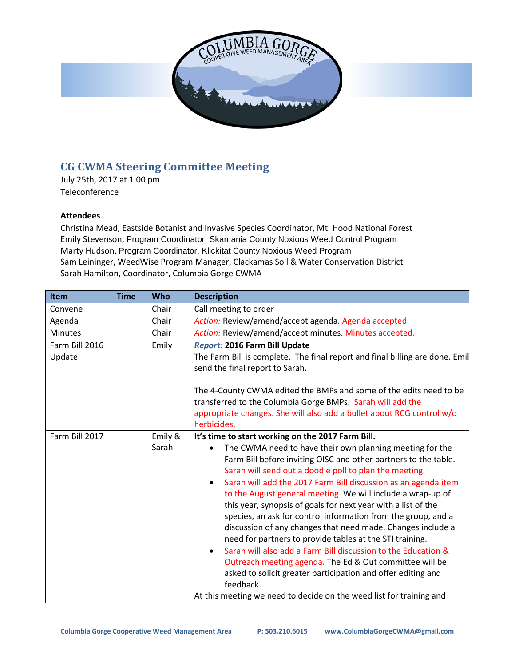

## **CG CWMA Steering Committee Meeting**

July 25th, 2017 at 1:00 pm Teleconference

## **Attendees**

Christina Mead, Eastside Botanist and Invasive Species Coordinator, Mt. Hood National Forest Emily Stevenson, Program Coordinator, Skamania County Noxious Weed Control Program Marty Hudson, Program Coordinator, Klickitat County Noxious Weed Program Sam Leininger, WeedWise Program Manager, Clackamas Soil & Water Conservation District Sarah Hamilton, Coordinator, Columbia Gorge CWMA

| Item                     | <b>Time</b> | <b>Who</b>       | <b>Description</b>                                                                                                                                                                                                                                                                                                                                                                                                                                                                                                                                                                                                                                                                                                                                                                                                                                                                                                                    |
|--------------------------|-------------|------------------|---------------------------------------------------------------------------------------------------------------------------------------------------------------------------------------------------------------------------------------------------------------------------------------------------------------------------------------------------------------------------------------------------------------------------------------------------------------------------------------------------------------------------------------------------------------------------------------------------------------------------------------------------------------------------------------------------------------------------------------------------------------------------------------------------------------------------------------------------------------------------------------------------------------------------------------|
| Convene                  |             | Chair            | Call meeting to order                                                                                                                                                                                                                                                                                                                                                                                                                                                                                                                                                                                                                                                                                                                                                                                                                                                                                                                 |
| Agenda                   |             | Chair            | Action: Review/amend/accept agenda. Agenda accepted.                                                                                                                                                                                                                                                                                                                                                                                                                                                                                                                                                                                                                                                                                                                                                                                                                                                                                  |
| <b>Minutes</b>           |             | Chair            | Action: Review/amend/accept minutes. Minutes accepted.                                                                                                                                                                                                                                                                                                                                                                                                                                                                                                                                                                                                                                                                                                                                                                                                                                                                                |
| Farm Bill 2016<br>Update |             | Emily            | Report: 2016 Farm Bill Update<br>The Farm Bill is complete. The final report and final billing are done. Emil<br>send the final report to Sarah.<br>The 4-County CWMA edited the BMPs and some of the edits need to be<br>transferred to the Columbia Gorge BMPs. Sarah will add the<br>appropriate changes. She will also add a bullet about RCG control w/o<br>herbicides.                                                                                                                                                                                                                                                                                                                                                                                                                                                                                                                                                          |
| Farm Bill 2017           |             | Emily &<br>Sarah | It's time to start working on the 2017 Farm Bill.<br>The CWMA need to have their own planning meeting for the<br>Farm Bill before inviting OISC and other partners to the table.<br>Sarah will send out a doodle poll to plan the meeting.<br>Sarah will add the 2017 Farm Bill discussion as an agenda item<br>to the August general meeting. We will include a wrap-up of<br>this year, synopsis of goals for next year with a list of the<br>species, an ask for control information from the group, and a<br>discussion of any changes that need made. Changes include a<br>need for partners to provide tables at the STI training.<br>Sarah will also add a Farm Bill discussion to the Education &<br>$\bullet$<br>Outreach meeting agenda. The Ed & Out committee will be<br>asked to solicit greater participation and offer editing and<br>feedback.<br>At this meeting we need to decide on the weed list for training and |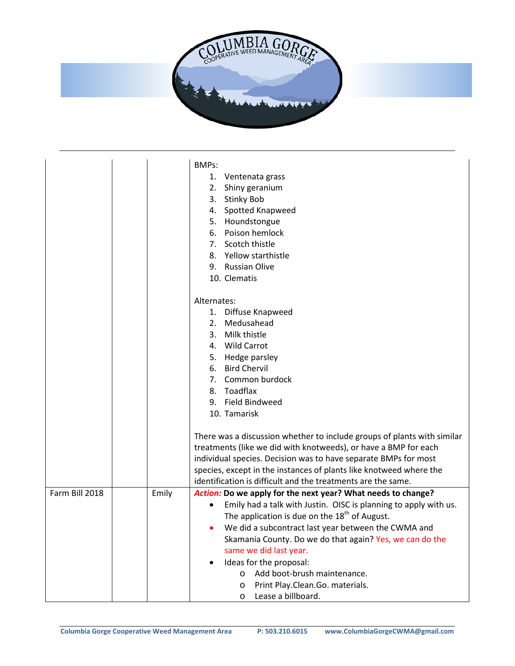

|                |       | <b>BMPs:</b>                                                            |
|----------------|-------|-------------------------------------------------------------------------|
|                |       | 1. Ventenata grass                                                      |
|                |       | Shiny geranium<br>2.                                                    |
|                |       | <b>Stinky Bob</b><br>3.                                                 |
|                |       | 4. Spotted Knapweed                                                     |
|                |       | 5. Houndstongue                                                         |
|                |       | 6. Poison hemlock                                                       |
|                |       | 7. Scotch thistle                                                       |
|                |       | 8. Yellow starthistle                                                   |
|                |       | 9. Russian Olive                                                        |
|                |       | 10. Clematis                                                            |
|                |       |                                                                         |
|                |       | Alternates:                                                             |
|                |       | 1. Diffuse Knapweed                                                     |
|                |       | 2. Medusahead                                                           |
|                |       | 3. Milk thistle                                                         |
|                |       | 4. Wild Carrot                                                          |
|                |       | 5. Hedge parsley                                                        |
|                |       | 6. Bird Chervil                                                         |
|                |       | 7. Common burdock                                                       |
|                |       | 8. Toadflax                                                             |
|                |       | 9. Field Bindweed                                                       |
|                |       | 10. Tamarisk                                                            |
|                |       |                                                                         |
|                |       | There was a discussion whether to include groups of plants with similar |
|                |       | treatments (like we did with knotweeds), or have a BMP for each         |
|                |       | individual species. Decision was to have separate BMPs for most         |
|                |       | species, except in the instances of plants like knotweed where the      |
|                |       | identification is difficult and the treatments are the same.            |
| Farm Bill 2018 | Emily | Action: Do we apply for the next year? What needs to change?            |
|                |       | Emily had a talk with Justin. OISC is planning to apply with us.        |
|                |       | The application is due on the 18 <sup>th</sup> of August.               |
|                |       | We did a subcontract last year between the CWMA and                     |
|                |       | Skamania County. Do we do that again? Yes, we can do the                |
|                |       | same we did last year.                                                  |
|                |       | Ideas for the proposal:                                                 |
|                |       | Add boot-brush maintenance.<br>$\circ$                                  |
|                |       | Print Play.Clean.Go. materials.<br>$\circ$                              |
|                |       | Lease a billboard.<br>O                                                 |